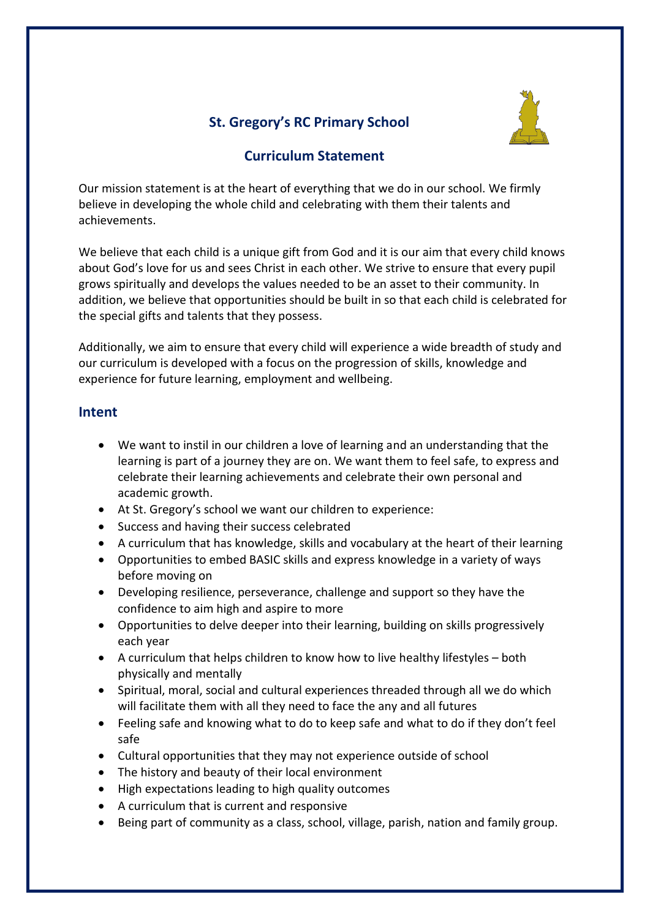

# **St. Gregory's RC Primary School**

## **Curriculum Statement**

Our mission statement is at the heart of everything that we do in our school. We firmly believe in developing the whole child and celebrating with them their talents and achievements.

We believe that each child is a unique gift from God and it is our aim that every child knows about God's love for us and sees Christ in each other. We strive to ensure that every pupil grows spiritually and develops the values needed to be an asset to their community. In addition, we believe that opportunities should be built in so that each child is celebrated for the special gifts and talents that they possess.

Additionally, we aim to ensure that every child will experience a wide breadth of study and our curriculum is developed with a focus on the progression of skills, knowledge and experience for future learning, employment and wellbeing.

### **Intent**

- We want to instil in our children a love of learning and an understanding that the learning is part of a journey they are on. We want them to feel safe, to express and celebrate their learning achievements and celebrate their own personal and academic growth.
- At St. Gregory's school we want our children to experience:
- Success and having their success celebrated
- A curriculum that has knowledge, skills and vocabulary at the heart of their learning
- Opportunities to embed BASIC skills and express knowledge in a variety of ways before moving on
- Developing resilience, perseverance, challenge and support so they have the confidence to aim high and aspire to more
- Opportunities to delve deeper into their learning, building on skills progressively each year
- A curriculum that helps children to know how to live healthy lifestyles both physically and mentally
- Spiritual, moral, social and cultural experiences threaded through all we do which will facilitate them with all they need to face the any and all futures
- Feeling safe and knowing what to do to keep safe and what to do if they don't feel safe
- Cultural opportunities that they may not experience outside of school
- The history and beauty of their local environment
- High expectations leading to high quality outcomes
- A curriculum that is current and responsive
- Being part of community as a class, school, village, parish, nation and family group.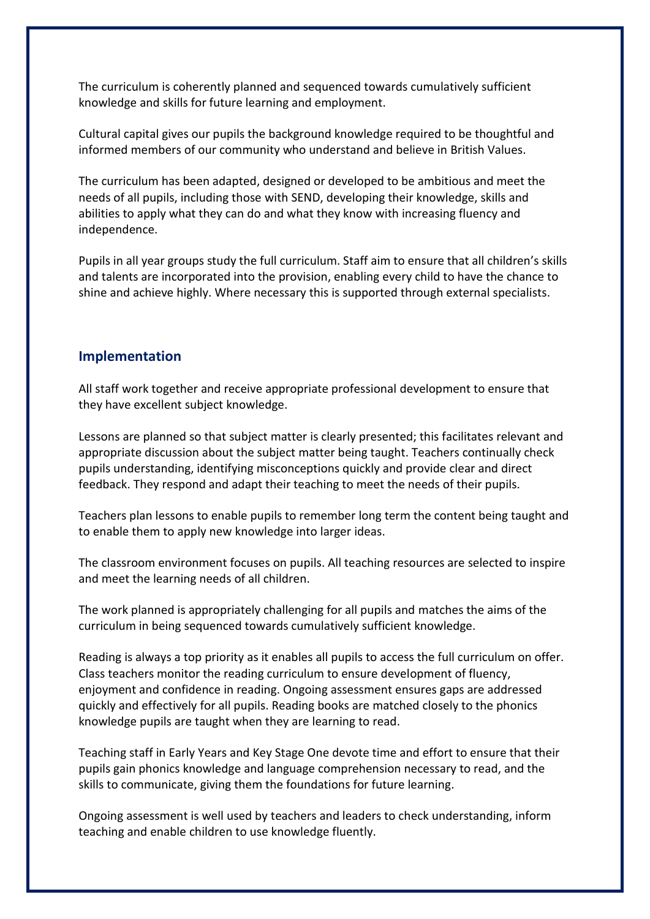The curriculum is coherently planned and sequenced towards cumulatively sufficient knowledge and skills for future learning and employment.

Cultural capital gives our pupils the background knowledge required to be thoughtful and informed members of our community who understand and believe in British Values.

The curriculum has been adapted, designed or developed to be ambitious and meet the needs of all pupils, including those with SEND, developing their knowledge, skills and abilities to apply what they can do and what they know with increasing fluency and independence.

Pupils in all year groups study the full curriculum. Staff aim to ensure that all children's skills and talents are incorporated into the provision, enabling every child to have the chance to shine and achieve highly. Where necessary this is supported through external specialists.

### **Implementation**

All staff work together and receive appropriate professional development to ensure that they have excellent subject knowledge.

Lessons are planned so that subject matter is clearly presented; this facilitates relevant and appropriate discussion about the subject matter being taught. Teachers continually check pupils understanding, identifying misconceptions quickly and provide clear and direct feedback. They respond and adapt their teaching to meet the needs of their pupils.

Teachers plan lessons to enable pupils to remember long term the content being taught and to enable them to apply new knowledge into larger ideas.

The classroom environment focuses on pupils. All teaching resources are selected to inspire and meet the learning needs of all children.

The work planned is appropriately challenging for all pupils and matches the aims of the curriculum in being sequenced towards cumulatively sufficient knowledge.

Reading is always a top priority as it enables all pupils to access the full curriculum on offer. Class teachers monitor the reading curriculum to ensure development of fluency, enjoyment and confidence in reading. Ongoing assessment ensures gaps are addressed quickly and effectively for all pupils. Reading books are matched closely to the phonics knowledge pupils are taught when they are learning to read.

Teaching staff in Early Years and Key Stage One devote time and effort to ensure that their pupils gain phonics knowledge and language comprehension necessary to read, and the skills to communicate, giving them the foundations for future learning.

Ongoing assessment is well used by teachers and leaders to check understanding, inform teaching and enable children to use knowledge fluently.